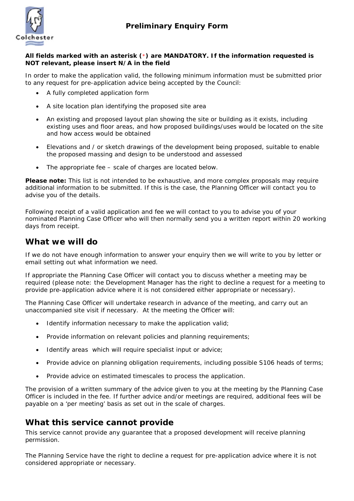

#### **All fields marked with an asterisk (**\***) are MANDATORY. If the information requested is NOT relevant, please insert N/A in the field**

In order to make the application valid, the following minimum information must be submitted prior to any request for pre-application advice being accepted by the Council:

- A fully completed application form
- A site location plan identifying the proposed site area
- An existing and proposed layout plan showing the site or building as it exists, including existing uses and floor areas, and how proposed buildings/uses would be located on the site and how access would be obtained
- Elevations and / or sketch drawings of the development being proposed, suitable to enable the proposed massing and design to be understood and assessed
- The appropriate fee scale of charges are located below.

**Please note:** This list is not intended to be exhaustive, and more complex proposals may require additional information to be submitted. If this is the case, the Planning Officer will contact you to advise you of the details.

Following receipt of a valid application and fee we will contact to you to advise you of your nominated Planning Case Officer who will then normally send you a written report within 20 working days from receipt.

### **What we will do**

If we do not have enough information to answer your enquiry then we will write to you by letter or email setting out what information we need.

If appropriate the Planning Case Officer will contact you to discuss whether a meeting may be required (please note: the Development Manager has the right to decline a request for a meeting to provide pre-application advice where it is not considered either appropriate or necessary).

The Planning Case Officer will undertake research in advance of the meeting, and carry out an unaccompanied site visit if necessary. At the meeting the Officer will:

- Identify information necessary to make the application valid;
- Provide information on relevant policies and planning requirements;
- Identify areas which will require specialist input or advice;
- Provide advice on planning obligation requirements, including possible S106 heads of terms;
- Provide advice on estimated timescales to process the application.

The provision of a written summary of the advice given to you at the meeting by the Planning Case Officer is included in the fee. If further advice and/or meetings are required, additional fees will be payable on a 'per meeting' basis as set out in the scale of charges.

### **What this service cannot provide**

This service cannot provide any guarantee that a proposed development will receive planning permission.

The Planning Service have the right to decline a request for pre-application advice where it is not considered appropriate or necessary.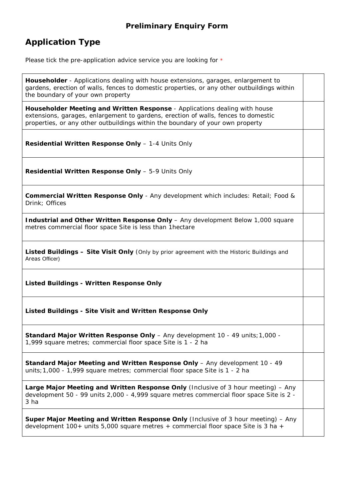# **Application Type**

Please tick the pre-application advice service you are looking for  $*$ 

**Householder** - Applications dealing with house extensions, garages, enlargement to gardens, erection of walls, fences to domestic properties, or any other outbuildings within the boundary of your own property

**Householder Meeting and Written Response** - Applications dealing with house extensions, garages, enlargement to gardens, erection of walls, fences to domestic properties, or any other outbuildings within the boundary of your own property

**Residential Written Response Only** – 1-4 Units Only

**Residential Written Response Only** – 5-9 Units Only

**Commercial Written Response Only** - Any development which includes: Retail; Food & Drink; Offices

**Industrial and Other Written Response Only** – Any development Below 1,000 square metres commercial floor space Site is less than 1hectare

**Listed Buildings – Site Visit Only** (Only by prior agreement with the Historic Buildings and Areas Officer)

#### **Listed Buildings - Written Response Only**

**Listed Buildings - Site Visit and Written Response Only**

**Standard Major Written Response Only** – Any development 10 - 49 units;1,000 - 1,999 square metres; commercial floor space Site is 1 - 2 ha

**Standard Major Meeting and Written Response Only** – Any development 10 - 49 units;1,000 - 1,999 square metres; commercial floor space Site is 1 - 2 ha

**Large Major Meeting and Written Response Only** (Inclusive of 3 hour meeting) – Any development 50 - 99 units 2,000 - 4,999 square metres commercial floor space Site is 2 - 3 ha

**Super Major Meeting and Written Response Only** (Inclusive of 3 hour meeting) – Any development  $100+$  units 5,000 square metres  $+$  commercial floor space Site is 3 ha  $+$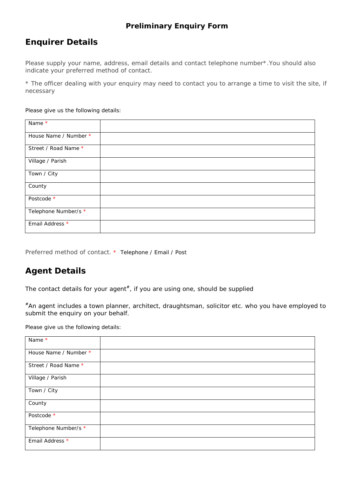# **Enquirer Details**

Please supply your name, address, email details and contact telephone number\*.You should also indicate your preferred method of contact.

\* The officer dealing with your enquiry may need to contact you to arrange a time to visit the site, if necessary

Please give us the following details:

| Name $\overline{\ast}$ |  |
|------------------------|--|
| House Name / Number *  |  |
| Street / Road Name *   |  |
| Village / Parish       |  |
| Town / City            |  |
| County                 |  |
| Postcode *             |  |
| Telephone Number/s *   |  |
| Email Address *        |  |

Preferred method of contact. \* Telephone / Email / Post

## **Agent Details**

The contact details for your agent<sup>#</sup>, if you are using one, should be supplied

#An agent includes a town planner, architect, draughtsman, solicitor etc. who you have employed to submit the enquiry on your behalf.

Please give us the following details:

| Name *                |  |
|-----------------------|--|
| House Name / Number * |  |
| Street / Road Name *  |  |
| Village / Parish      |  |
| Town / City           |  |
| County                |  |
| Postcode *            |  |
| Telephone Number/s *  |  |
| Email Address *       |  |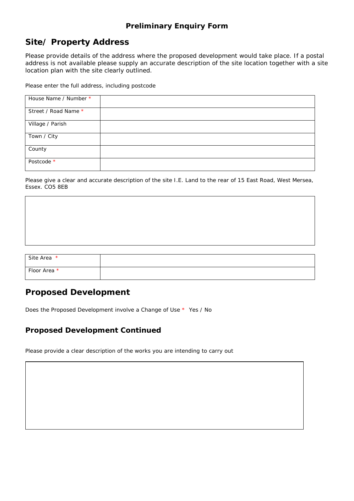# **Site/ Property Address**

Please provide details of the address where the proposed development would take place. If a postal address is not available please supply an accurate description of the site location together with a site location plan with the site clearly outlined.

Please enter the full address, including postcode

| House Name / Number * |  |
|-----------------------|--|
| Street / Road Name *  |  |
| Village / Parish      |  |
| Town / City           |  |
| County                |  |
| Postcode *            |  |

Please give a clear and accurate description of the site I.E. Land to the rear of 15 East Road, West Mersea, Essex. CO5 8EB

| Site Area *  |  |
|--------------|--|
| Floor Area * |  |

# **Proposed Development**

Does the Proposed Development involve a Change of Use \* Yes / No

#### **Proposed Development Continued**

Please provide a clear description of the works you are intending to carry out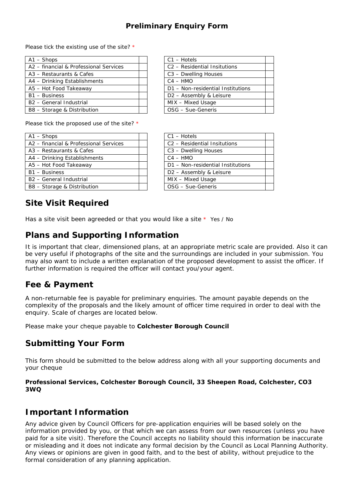Please tick the existing use of the site? \*

| $A1 -$ Shops                           | $C1 - Hotels$                            |
|----------------------------------------|------------------------------------------|
| A2 - financial & Professional Services | C <sub>2</sub> - Residential Insitutions |
| A3 - Restaurants & Cafes               | C3 - Dwelling Houses                     |
| A4 - Drinking Establishments           | $C4 - HMO$                               |
| A5 - Hot Food Takeaway                 | D1 - Non-residential Institutions        |
| B1 - Business                          | D <sub>2</sub> - Assembly & Leisure      |
| B <sub>2</sub> - General Industrial    | MIX - Mixed Usage                        |
| B8 - Storage & Distribution            | OSG - Sue-Generis                        |
|                                        |                                          |

| $C1 - Hotels$                            |  |
|------------------------------------------|--|
| C <sub>2</sub> - Residential Insitutions |  |
| C3 - Dwelling Houses                     |  |
| $C4 - HMO$                               |  |
| D1 - Non-residential Institutions        |  |
| D <sub>2</sub> - Assembly & Leisure      |  |
| MIX - Mixed Usage                        |  |
| OSG - Sue-Generis                        |  |

Please tick the proposed use of the site? \*

| $A1 -$ Shops                           |  | $C1 - Hotels$                            |
|----------------------------------------|--|------------------------------------------|
| A2 - financial & Professional Services |  | C <sub>2</sub> - Residential Insitutions |
| A3 - Restaurants & Cafes               |  | C3 - Dwelling Houses                     |
| A4 - Drinking Establishments           |  | $C4 - HMO$                               |
| A5 - Hot Food Takeaway                 |  | D1 - Non-residential Institutions        |
| B1 - Business                          |  | D2 - Assembly & Leisure                  |
| B <sub>2</sub> - General Industrial    |  | MIX - Mixed Usage                        |
| B8 - Storage & Distribution            |  | OSG - Sue-Generis                        |
|                                        |  |                                          |

| $C1 - Hotels$                            |  |
|------------------------------------------|--|
| C <sub>2</sub> - Residential Insitutions |  |
| C3 - Dwelling Houses                     |  |
| $C4 - HMO$                               |  |
| D1 - Non-residential Institutions        |  |
| D <sub>2</sub> - Assembly & Leisure      |  |
| MIX - Mixed Usage                        |  |
| OSG - Sue-Generis                        |  |

**Site Visit Required**

Has a site visit been agreeded or that you would like a site  $*$  Yes / No

# **Plans and Supporting Information**

It is important that clear, dimensioned plans, at an appropriate metric scale are provided. Also it can be very useful if photographs of the site and the surroundings are included in your submission. You may also want to include a written explanation of the proposed development to assist the officer. If further information is required the officer will contact you/your agent.

## **Fee & Payment**

A non-returnable fee is payable for preliminary enquiries. The amount payable depends on the complexity of the proposals and the likely amount of officer time required in order to deal with the enquiry. Scale of charges are located below.

Please make your cheque payable to **Colchester Borough Council**

# **Submitting Your Form**

This form should be submitted to the below address along with all your supporting documents and your cheque

**Professional Services, Colchester Borough Council, 33 Sheepen Road, Colchester, CO3 3WQ** 

## **Important Information**

Any advice given by Council Officers for pre-application enquiries will be based solely on the information provided by you, or that which we can assess from our own resources (unless you have paid for a site visit). Therefore the Council accepts no liability should this information be inaccurate or misleading and it does not indicate any formal decision by the Council as Local Planning Authority. Any views or opinions are given in good faith, and to the best of ability, without prejudice to the formal consideration of any planning application.